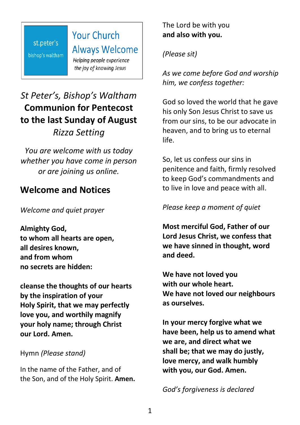#### st.peter's

bishop's waltham

**Always Welcome** 

**Your Church** 

Helping people experience the joy of knowing Jesus

# *St Peter's, Bishop's Waltham* **Communion for Pentecost to the last Sunday of August** *Rizza Setting*

*You are welcome with us today whether you have come in person or are joining us online.*

### **Welcome and Notices**

*Welcome and quiet prayer* 

**Almighty God, to whom all hearts are open, all desires known, and from whom no secrets are hidden:**

**cleanse the thoughts of our hearts by the inspiration of your Holy Spirit, that we may perfectly love you, and worthily magnify your holy name; through Christ our Lord. Amen.**

Hymn *(Please stand)*

In the name of the Father, and of the Son, and of the Holy Spirit. **Amen.** The Lord be with you **and also with you.**

*(Please sit)*

*As we come before God and worship him, we confess together:* 

God so loved the world that he gave his only Son Jesus Christ to save us from our sins, to be our advocate in heaven, and to bring us to eternal life.

So, let us confess our sins in penitence and faith, firmly resolved to keep God's commandments and to live in love and peace with all.

*Please keep a moment of quiet*

**Most merciful God, Father of our Lord Jesus Christ, we confess that we have sinned in thought, word and deed.** 

**We have not loved you with our whole heart. We have not loved our neighbours as ourselves.**

**In your mercy forgive what we have been, help us to amend what we are, and direct what we shall be; that we may do justly, love mercy, and walk humbly with you, our God. Amen.**

*God's forgiveness is declared*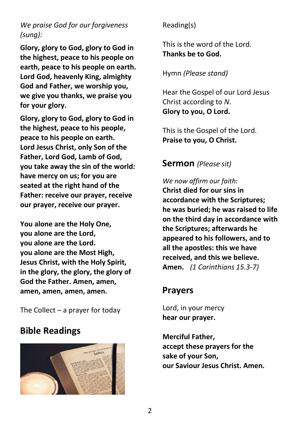#### *We praise God for our forgiveness (sung):*

**Glory, glory to God, glory to God in the highest, peace to his people on earth, peace to his people on earth. Lord God, heavenly King, almighty God and Father, we worship you, we give you thanks, we praise you for your glory.**

**Glory, glory to God, glory to God in the highest, peace to his people, peace to his people on earth. Lord Jesus Christ, only Son of the Father, Lord God, Lamb of God, you take away the sin of the world: have mercy on us; for you are seated at the right hand of the Father: receive our prayer, receive our prayer, receive our prayer.**

**You alone are the Holy One, you alone are the Lord, you alone are the Lord. you alone are the Most High, Jesus Christ, with the Holy Spirit, in the glory, the glory, the glory of God the Father. Amen, amen, amen, amen, amen, amen.**

The Collect – a prayer for today

## **Bible Readings**



Reading(s)

This is the word of the Lord. **Thanks be to God.**

Hymn *(Please stand)*

Hear the Gospel of our Lord Jesus Christ according to *N*. **Glory to you, O Lord.**

This is the Gospel of the Lord. **Praise to you, O Christ.**

**Sermon** *(Please sit)*

*We now affirm our faith:* **Christ died for our sins in accordance with the Scriptures; he was buried; he was raised to life on the third day in accordance with the Scriptures; afterwards he appeared to his followers, and to all the apostles: this we have received, and this we believe. Amen.** *(1 Corinthians 15.3-7)* 

## **Prayers**

Lord, in your mercy **hear our prayer.**

**Merciful Father, accept these prayers for the sake of your Son, our Saviour Jesus Christ. Amen.**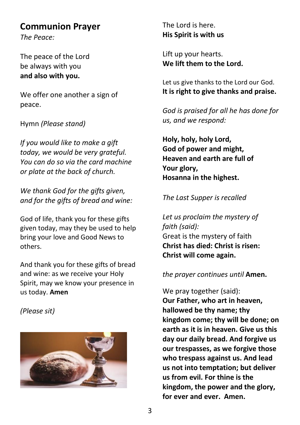### **Communion Prayer**

*The Peace:*

The peace of the Lord be always with you **and also with you.**

We offer one another a sign of peace.

Hymn *(Please stand)*

*If you would like to make a gift today, we would be very grateful. You can do so via the card machine or plate at the back of church.*

*We thank God for the gifts given, and for the gifts of bread and wine:*

God of life, thank you for these gifts given today, may they be used to help bring your love and Good News to others.

And thank you for these gifts of bread and wine: as we receive your Holy Spirit, may we know your presence in us today. **Amen**

*(Please sit)*



The Lord is here. **His Spirit is with us**

Lift up your hearts. **We lift them to the Lord.**

Let us give thanks to the Lord our God. **It is right to give thanks and praise.**

*God is praised for all he has done for us, and we respond:*

**Holy, holy, holy Lord, God of power and might, Heaven and earth are full of Your glory, Hosanna in the highest.**

#### *The Last Supper is recalled*

*Let us proclaim the mystery of faith (said):* Great is the mystery of faith **Christ has died: Christ is risen: Christ will come again.**

*the prayer continues until* **Amen.**

We pray together (said):

**Our Father, who art in heaven, hallowed be thy name; thy kingdom come; thy will be done; on earth as it is in heaven. Give us this day our daily bread. And forgive us our trespasses, as we forgive those who trespass against us. And lead us not into temptation; but deliver us from evil. For thine is the kingdom, the power and the glory, for ever and ever. Amen.**